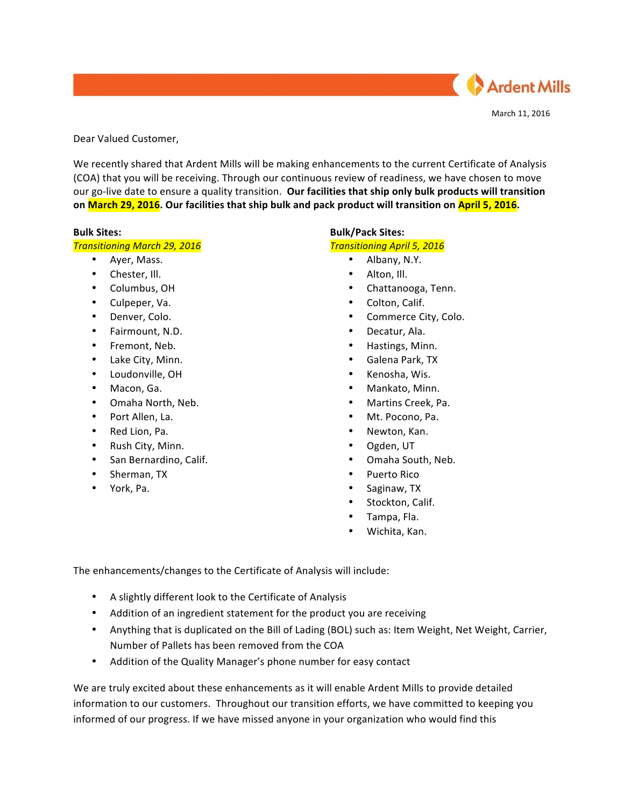

March 11, 2016

Dear Valued Customer,

We recently shared that Ardent Mills will be making enhancements to the current Certificate of Analysis (COA) that you will be receiving. Through our continuous review of readiness, we have chosen to move our go-live date to ensure a quality transition. Our facilities that ship only bulk products will transition **on March 29, 2016.** Our facilities that ship bulk and pack product will transition on April 5, 2016.

### **Bulk Sites:**

### *Transitioning March 29, 2016*

- Ayer, Mass.
- Chester, Ill.
- Columbus, OH
- Culpeper, Va.
- Denver, Colo.
- Fairmount, N.D.
- Fremont, Neb.
- Lake City, Minn.
- Loudonville, OH
- Macon, Ga.
- Omaha North, Neb.
- Port Allen, La.
- Red Lion, Pa.
- Rush City, Minn.
- San Bernardino, Calif.
- Sherman, TX
- York, Pa.

## **Bulk/Pack Sites:**

## **Transitioning April 5, 2016**

- Albany, N.Y.
- Alton, Ill.
- Chattanooga, Tenn.
- Colton, Calif.
- Commerce City, Colo.
- Decatur, Ala.
- Hastings, Minn.
- Galena Park, TX
- Kenosha, Wis.
- Mankato, Minn.
- Martins Creek, Pa.
- Mt. Pocono, Pa.
- Newton, Kan.
- Ogden, UT
- Omaha South, Neb.
- Puerto Rico
- Saginaw, TX
- Stockton, Calif.
- Tampa, Fla.
- Wichita, Kan.

The enhancements/changes to the Certificate of Analysis will include:

- A slightly different look to the Certificate of Analysis
- Addition of an ingredient statement for the product you are receiving
- Anything that is duplicated on the Bill of Lading (BOL) such as: Item Weight, Net Weight, Carrier, Number of Pallets has been removed from the COA
- Addition of the Quality Manager's phone number for easy contact

We are truly excited about these enhancements as it will enable Ardent Mills to provide detailed information to our customers. Throughout our transition efforts, we have committed to keeping you informed of our progress. If we have missed anyone in your organization who would find this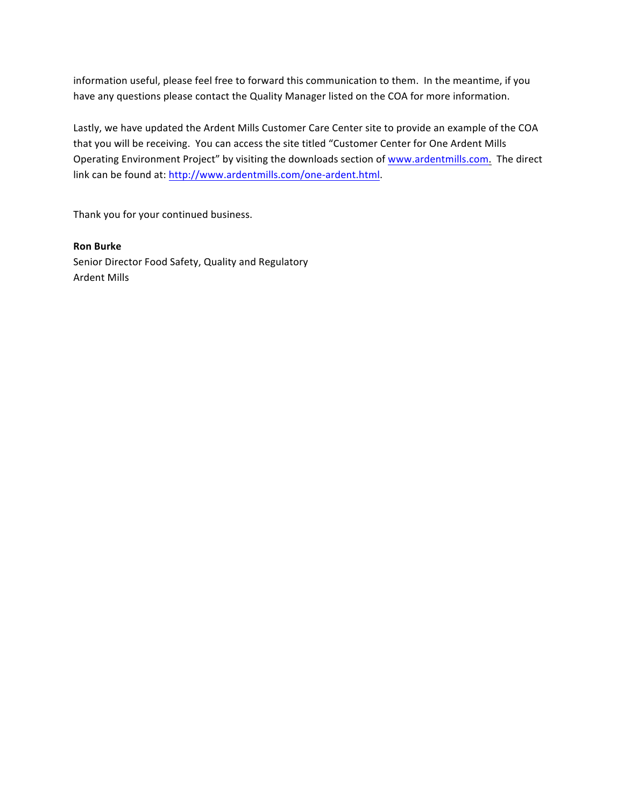information useful, please feel free to forward this communication to them. In the meantime, if you have any questions please contact the Quality Manager listed on the COA for more information.

Lastly, we have updated the Ardent Mills Customer Care Center site to provide an example of the COA that you will be receiving. You can access the site titled "Customer Center for One Ardent Mills Operating Environment Project" by visiting the downloads section of www.ardentmills.com. The direct link can be found at: http://www.ardentmills.com/one-ardent.html.

Thank you for your continued business.

## **Ron Burke**

Senior Director Food Safety, Quality and Regulatory **Ardent Mills**